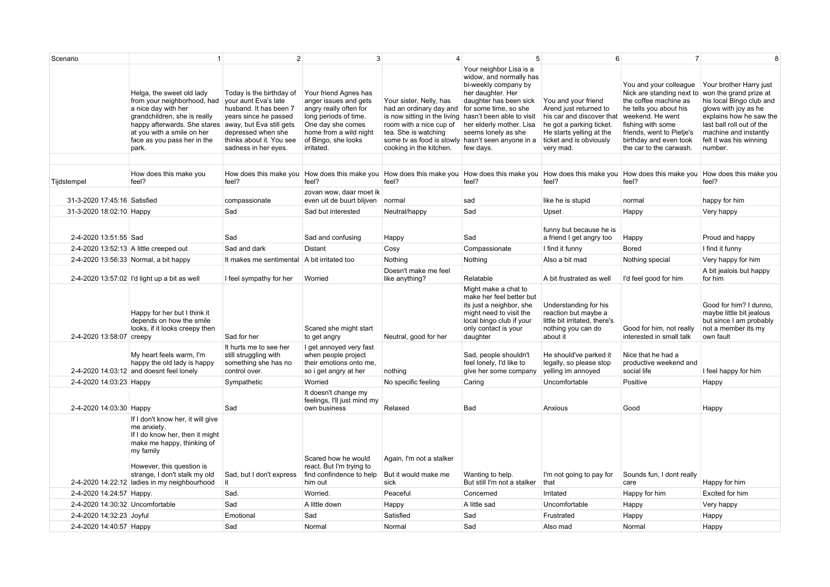| Scenario                        | -1                                                                                                                                                                                                                                           | $\overline{2}$                                                                                                                                                                                            | 3                                                                                                                                                                                     | $\Delta$                                                                                                                                                                                                              | 5 <sup>5</sup>                                                                                                                                                                                                                                  | 6                                                                                                                                                                          | $\overline{7}$                                                                                                                                                                                                                    | 8                                                                                                                                                                                                                            |
|---------------------------------|----------------------------------------------------------------------------------------------------------------------------------------------------------------------------------------------------------------------------------------------|-----------------------------------------------------------------------------------------------------------------------------------------------------------------------------------------------------------|---------------------------------------------------------------------------------------------------------------------------------------------------------------------------------------|-----------------------------------------------------------------------------------------------------------------------------------------------------------------------------------------------------------------------|-------------------------------------------------------------------------------------------------------------------------------------------------------------------------------------------------------------------------------------------------|----------------------------------------------------------------------------------------------------------------------------------------------------------------------------|-----------------------------------------------------------------------------------------------------------------------------------------------------------------------------------------------------------------------------------|------------------------------------------------------------------------------------------------------------------------------------------------------------------------------------------------------------------------------|
|                                 | Helga, the sweet old lady<br>from your neighborhood, had<br>a nice day with her<br>grandchildren, she is really<br>happy afterwards. She stares<br>at you with a smile on her<br>face as you pass her in the<br>park.                        | Today is the birthday of<br>vour aunt Eva's late<br>husband. It has been 7<br>years since he passed<br>away, but Eva still gets<br>depressed when she<br>thinks about it. You see<br>sadness in her eyes. | Your friend Agnes has<br>anger issues and gets<br>angry really often for<br>long periods of time.<br>One day she comes<br>home from a wild night<br>of Bingo, she looks<br>irritated. | Your sister, Nelly, has<br>had an ordinary day and<br>is now sitting in the living<br>room with a nice cup of<br>tea. She is watching<br>some tv as food is slowly hasn't seen anyone in a<br>cooking in the kitchen. | Your neighbor Lisa is a<br>widow, and normally has<br>bi-weekly company by<br>her daughter. Her<br>daughter has been sick<br>for some time, so she<br>hasn't been able to visit<br>her elderly mother. Lisa<br>seems lonely as she<br>few days. | You and your friend<br>Arend just returned to<br>his car and discover that<br>he got a parking ticket.<br>He starts yelling at the<br>ticket and is obviously<br>very mad. | You and your colleague<br>Nick are standing next to<br>the coffee machine as<br>he tells you about his<br>weekend. He went<br>fishing with some<br>friends, went to Pietje's<br>birthday and even took<br>the car to the carwash. | Your brother Harry just<br>won the grand prize at<br>his local Bingo club and<br>glows with joy as he<br>explains how he saw the<br>last ball roll out of the<br>machine and instantly<br>felt it was his winning<br>number. |
| Tijdstempel                     | How does this make you<br>feel?                                                                                                                                                                                                              | feel?                                                                                                                                                                                                     | feel?                                                                                                                                                                                 | How does this make you How does this make you How does this make you<br>feel?                                                                                                                                         | feel?                                                                                                                                                                                                                                           | feel?                                                                                                                                                                      | How does this make you How does this make you How does this make you How does this make you<br>feel?                                                                                                                              | feel?                                                                                                                                                                                                                        |
| 31-3-2020 17:45:16 Satisfied    |                                                                                                                                                                                                                                              | compassionate                                                                                                                                                                                             | zovan wow, daar moet ik<br>even uit de buurt blijven normal                                                                                                                           |                                                                                                                                                                                                                       | sad                                                                                                                                                                                                                                             | like he is stupid                                                                                                                                                          | normal                                                                                                                                                                                                                            | happy for him                                                                                                                                                                                                                |
| 31-3-2020 18:02:10 Happy        |                                                                                                                                                                                                                                              | Sad                                                                                                                                                                                                       | Sad but interested                                                                                                                                                                    | Neutral/happy                                                                                                                                                                                                         | Sad                                                                                                                                                                                                                                             | Upset                                                                                                                                                                      | Happy                                                                                                                                                                                                                             | Very happy                                                                                                                                                                                                                   |
| 2-4-2020 13:51:55 Sad           |                                                                                                                                                                                                                                              | Sad                                                                                                                                                                                                       | Sad and confusing                                                                                                                                                                     | Happy                                                                                                                                                                                                                 | Sad                                                                                                                                                                                                                                             | funny but because he is<br>a friend I get angry too                                                                                                                        | Happy                                                                                                                                                                                                                             | Proud and happy                                                                                                                                                                                                              |
|                                 | 2-4-2020 13:52:13 A little creeped out                                                                                                                                                                                                       | Sad and dark                                                                                                                                                                                              | Distant                                                                                                                                                                               | Cosy                                                                                                                                                                                                                  | Compassionate                                                                                                                                                                                                                                   | I find it funny                                                                                                                                                            | Bored                                                                                                                                                                                                                             | I find it funny                                                                                                                                                                                                              |
|                                 | 2-4-2020 13:56:33 Normal, a bit happy                                                                                                                                                                                                        | It makes me sentimental A bit irritated too                                                                                                                                                               |                                                                                                                                                                                       | Nothing                                                                                                                                                                                                               | Nothing                                                                                                                                                                                                                                         | Also a bit mad                                                                                                                                                             | Nothing special                                                                                                                                                                                                                   | Very happy for him                                                                                                                                                                                                           |
|                                 | 2-4-2020 13:57:02 I'd light up a bit as well                                                                                                                                                                                                 | I feel sympathy for her                                                                                                                                                                                   | Worried                                                                                                                                                                               | Doesn't make me feel<br>like anything?                                                                                                                                                                                | Relatable                                                                                                                                                                                                                                       | A bit frustrated as well                                                                                                                                                   | I'd feel good for him                                                                                                                                                                                                             | A bit jealois but happy<br>for him                                                                                                                                                                                           |
| 2-4-2020 13:58:07 creepy        | Happy for her but I think it<br>depends on how the smile<br>looks, if it looks creepy then                                                                                                                                                   | Sad for her                                                                                                                                                                                               | Scared she might start<br>to get angry                                                                                                                                                | Neutral, good for her                                                                                                                                                                                                 | Might make a chat to<br>make her feel better but<br>its just a neighbor, she<br>might need to visit the<br>local bingo club if your<br>only contact is your<br>daughter                                                                         | Understanding for his<br>reaction but maybe a<br>little bit irritated, there's<br>nothing you can do<br>about it                                                           | Good for him, not really<br>interested in small talk                                                                                                                                                                              | Good for him? I dunno.<br>maybe little bit jealous<br>but since I am probably<br>not a member its my<br>own fault                                                                                                            |
|                                 | My heart feels warm, I'm<br>happy the old lady is happy<br>2-4-2020 14:03:12 and doesnt feel lonely                                                                                                                                          | It hurts me to see her<br>still struggling with<br>something she has no<br>control over.                                                                                                                  | I get annoyed very fast<br>when people project<br>their emotions onto me,<br>so i get angry at her                                                                                    | nothing                                                                                                                                                                                                               | Sad, people shouldn't<br>feel lonely, I'd like to<br>give her some company                                                                                                                                                                      | He should've parked it<br>legally, so please stop<br>yelling im annoyed                                                                                                    | Nice that he had a<br>productive weekend and<br>social life                                                                                                                                                                       | I feel happy for him                                                                                                                                                                                                         |
| 2-4-2020 14:03:23 Happy         |                                                                                                                                                                                                                                              | Sympathetic                                                                                                                                                                                               | Worried                                                                                                                                                                               | No specific feeling                                                                                                                                                                                                   | Caring                                                                                                                                                                                                                                          | Uncomfortable                                                                                                                                                              | Positive                                                                                                                                                                                                                          | Happy                                                                                                                                                                                                                        |
| 2-4-2020 14:03:30 Happy         |                                                                                                                                                                                                                                              | Sad                                                                                                                                                                                                       | It doesn't change my<br>feelings, I'll just mind my<br>own business                                                                                                                   | Relaxed                                                                                                                                                                                                               | Bad                                                                                                                                                                                                                                             | Anxious                                                                                                                                                                    | Good                                                                                                                                                                                                                              | Happy                                                                                                                                                                                                                        |
|                                 | If I don't know her, it will give<br>me anxiety.<br>If I do know her, then it might<br>make me happy, thinking of<br>my family<br>However, this question is<br>strange, I don't stalk my old<br>2-4-2020 14:22:12 ladies in my neighbourhood | Sad, but I don't express<br>it                                                                                                                                                                            | Scared how he would<br>react. But I'm trying to<br>find confindence to help<br>him out                                                                                                | Again, I'm not a stalker<br>But it would make me<br>sick                                                                                                                                                              | Wanting to help.<br>But still I'm not a stalker                                                                                                                                                                                                 | I'm not going to pay for<br>that                                                                                                                                           | Sounds fun, I dont really<br>care                                                                                                                                                                                                 | Happy for him                                                                                                                                                                                                                |
| 2-4-2020 14:24:57 Happy.        |                                                                                                                                                                                                                                              | Sad.                                                                                                                                                                                                      | Worried.                                                                                                                                                                              | Peaceful                                                                                                                                                                                                              | Concerned                                                                                                                                                                                                                                       | Irritated                                                                                                                                                                  | Happy for him                                                                                                                                                                                                                     | Excited for him                                                                                                                                                                                                              |
| 2-4-2020 14:30:32 Uncomfortable |                                                                                                                                                                                                                                              | Sad                                                                                                                                                                                                       | A little down                                                                                                                                                                         | Happy                                                                                                                                                                                                                 | A little sad                                                                                                                                                                                                                                    | Uncomfortable                                                                                                                                                              | Happy                                                                                                                                                                                                                             | Very happy                                                                                                                                                                                                                   |
| 2-4-2020 14:32:23 Joyful        |                                                                                                                                                                                                                                              | Emotional                                                                                                                                                                                                 | Sad                                                                                                                                                                                   | Satisfied                                                                                                                                                                                                             | Sad                                                                                                                                                                                                                                             | Frustrated                                                                                                                                                                 | Happy                                                                                                                                                                                                                             | Happy                                                                                                                                                                                                                        |
| 2-4-2020 14:40:57 Happy         |                                                                                                                                                                                                                                              | Sad                                                                                                                                                                                                       | Normal                                                                                                                                                                                | Normal                                                                                                                                                                                                                | Sad                                                                                                                                                                                                                                             | Also mad                                                                                                                                                                   | Normal                                                                                                                                                                                                                            | Happy                                                                                                                                                                                                                        |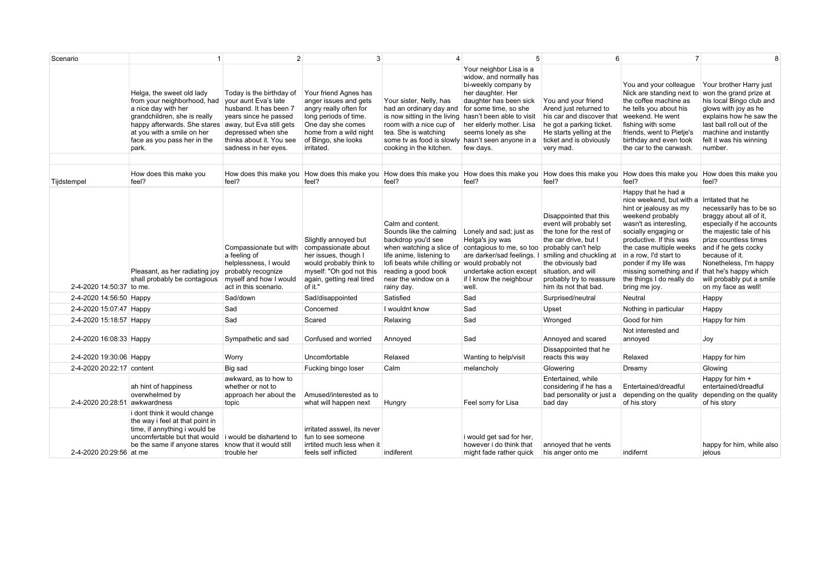| Scenario                      |                                                                                                                                                                                                                       | $\mathcal{P}$                                                                                                                                                                                             | 3                                                                                                                                                                                     |                                                                                                                                                                                                                                             |                                                                                                                                                                                                                        | 6                                                                                                                                                                                                                                                         | $\overline{7}$                                                                                                                                                                                                                                                                                                                                       | 8                                                                                                                                                                                                                                                                                      |
|-------------------------------|-----------------------------------------------------------------------------------------------------------------------------------------------------------------------------------------------------------------------|-----------------------------------------------------------------------------------------------------------------------------------------------------------------------------------------------------------|---------------------------------------------------------------------------------------------------------------------------------------------------------------------------------------|---------------------------------------------------------------------------------------------------------------------------------------------------------------------------------------------------------------------------------------------|------------------------------------------------------------------------------------------------------------------------------------------------------------------------------------------------------------------------|-----------------------------------------------------------------------------------------------------------------------------------------------------------------------------------------------------------------------------------------------------------|------------------------------------------------------------------------------------------------------------------------------------------------------------------------------------------------------------------------------------------------------------------------------------------------------------------------------------------------------|----------------------------------------------------------------------------------------------------------------------------------------------------------------------------------------------------------------------------------------------------------------------------------------|
|                               | Helga, the sweet old lady<br>from your neighborhood, had<br>a nice day with her<br>grandchildren, she is really<br>happy afterwards. She stares<br>at you with a smile on her<br>face as you pass her in the<br>park. | Today is the birthday of<br>vour aunt Eva's late<br>husband. It has been 7<br>years since he passed<br>away, but Eva still gets<br>depressed when she<br>thinks about it. You see<br>sadness in her eyes. | Your friend Agnes has<br>anger issues and gets<br>angry really often for<br>long periods of time.<br>One day she comes<br>home from a wild night<br>of Bingo, she looks<br>irritated. | Your sister, Nelly, has<br>had an ordinary day and for some time, so she<br>is now sitting in the living<br>room with a nice cup of<br>tea. She is watching<br>some ty as food is slowly hasn't seen anyone in a<br>cooking in the kitchen. | Your neighbor Lisa is a<br>widow, and normally has<br>bi-weekly company by<br>her daughter. Her<br>daughter has been sick<br>hasn't been able to visit<br>her elderly mother. Lisa<br>seems lonely as she<br>few days. | You and your friend<br>Arend just returned to<br>his car and discover that<br>he got a parking ticket.<br>He starts yelling at the<br>ticket and is obviously<br>very mad.                                                                                | You and your colleague<br>Nick are standing next to<br>the coffee machine as<br>he tells you about his<br>weekend. He went<br>fishing with some<br>friends, went to Pietje's<br>birthday and even took<br>the car to the carwash.                                                                                                                    | Your brother Harry just<br>won the grand prize at<br>his local Bingo club and<br>glows with joy as he<br>explains how he saw the<br>last ball roll out of the<br>machine and instantly<br>felt it was his winning<br>number.                                                           |
| Tijdstempel                   | How does this make you<br>feel?                                                                                                                                                                                       | feel?                                                                                                                                                                                                     | How does this make you How does this make you How does this make you How does this make you<br>feel?                                                                                  | feel?                                                                                                                                                                                                                                       | feel?                                                                                                                                                                                                                  | How does this make you<br>feel?                                                                                                                                                                                                                           | How does this make you How does this make you<br>feel?                                                                                                                                                                                                                                                                                               | feel?                                                                                                                                                                                                                                                                                  |
| 2-4-2020 14:50:37 to me.      | Pleasant, as her radiating joy<br>shall probably be contagious                                                                                                                                                        | Compassionate but with<br>a feeling of<br>helplessness, I would<br>probably recognize<br>myself and how I would<br>act in this scenario.                                                                  | Slightly annoyed but<br>compassionate about<br>her issues, though I<br>would probably think to<br>myself: "Oh god not this<br>again, getting real tired<br>of it."                    | Calm and content.<br>Sounds like the calming<br>backdrop you'd see<br>life anime, listening to<br>lofi beats while chilling or would probably not<br>reading a good book<br>near the window on a<br>rainy day.                              | Lonely and sad; just as<br>Helga's joy was<br>when watching a slice of contagious to me, so too<br>are darker/sad feelings. I<br>undertake action except<br>if I know the neighbour<br>well.                           | Disappointed that this<br>event will probably set<br>the tone for the rest of<br>the car drive, but I<br>probably can't help<br>smiling and chuckling at<br>the obviously bad<br>situation, and will<br>probably try to reassure<br>him its not that bad. | Happy that he had a<br>nice weekend, but with a Irritated that he<br>hint or jealousy as my<br>weekend probably<br>wasn't as interesting.<br>socially engaging or<br>productive. If this was<br>the case multiple weeks<br>in a row, I'd start to<br>ponder if my life was<br>missing something and if<br>the things I do really do<br>bring me joy. | necessarily has to be so<br>braggy about all of it,<br>especially if he accounts<br>the majestic tale of his<br>prize countless times<br>and if he gets cocky<br>because of it.<br>Nonetheless, I'm happy<br>that he's happy which<br>will probably put a smile<br>on my face as well! |
| 2-4-2020 14:56:50 Happy       |                                                                                                                                                                                                                       | Sad/down                                                                                                                                                                                                  | Sad/disappointed                                                                                                                                                                      | Satisfied                                                                                                                                                                                                                                   | Sad                                                                                                                                                                                                                    | Surprised/neutral                                                                                                                                                                                                                                         | Neutral                                                                                                                                                                                                                                                                                                                                              | Happy                                                                                                                                                                                                                                                                                  |
| 2-4-2020 15:07:47 Happy       |                                                                                                                                                                                                                       | Sad                                                                                                                                                                                                       | Concerned                                                                                                                                                                             | I wouldnt know                                                                                                                                                                                                                              | Sad                                                                                                                                                                                                                    | Upset                                                                                                                                                                                                                                                     | Nothing in particular                                                                                                                                                                                                                                                                                                                                | Happy                                                                                                                                                                                                                                                                                  |
| 2-4-2020 15:18:57 Happy       |                                                                                                                                                                                                                       | Sad                                                                                                                                                                                                       | Scared                                                                                                                                                                                | Relaxing                                                                                                                                                                                                                                    | Sad                                                                                                                                                                                                                    | Wronged                                                                                                                                                                                                                                                   | Good for him                                                                                                                                                                                                                                                                                                                                         | Happy for him                                                                                                                                                                                                                                                                          |
| 2-4-2020 16:08:33 Happy       |                                                                                                                                                                                                                       | Sympathetic and sad                                                                                                                                                                                       | Confused and worried                                                                                                                                                                  | Annoyed                                                                                                                                                                                                                                     | Sad                                                                                                                                                                                                                    | Annoyed and scared                                                                                                                                                                                                                                        | Not interested and<br>annoyed                                                                                                                                                                                                                                                                                                                        | Joy                                                                                                                                                                                                                                                                                    |
| 2-4-2020 19:30:06 Happy       |                                                                                                                                                                                                                       | Worry                                                                                                                                                                                                     | Uncomfortable                                                                                                                                                                         | Relaxed                                                                                                                                                                                                                                     | Wanting to help/visit                                                                                                                                                                                                  | Dissappointed that he<br>reacts this way                                                                                                                                                                                                                  | Relaxed                                                                                                                                                                                                                                                                                                                                              | Happy for him                                                                                                                                                                                                                                                                          |
| 2-4-2020 20:22:17 content     |                                                                                                                                                                                                                       | Big sad                                                                                                                                                                                                   | Fucking bingo loser                                                                                                                                                                   | Calm                                                                                                                                                                                                                                        | melancholy                                                                                                                                                                                                             | Glowering                                                                                                                                                                                                                                                 | Dreamy                                                                                                                                                                                                                                                                                                                                               | Glowing                                                                                                                                                                                                                                                                                |
| 2-4-2020 20:28:51 awkwardness | ah hint of happiness<br>overwhelmed by                                                                                                                                                                                | awkward, as to how to<br>whether or not to<br>approach her about the<br>topic                                                                                                                             | Amused/interested as to<br>what will happen next                                                                                                                                      | Hungry                                                                                                                                                                                                                                      | Feel sorry for Lisa                                                                                                                                                                                                    | Entertained, while<br>considering if he has a<br>bad personality or just a<br>bad day                                                                                                                                                                     | Entertained/dreadful<br>depending on the quality<br>of his story                                                                                                                                                                                                                                                                                     | Happy for him +<br>entertained/dreadful<br>depending on the quality<br>of his story                                                                                                                                                                                                    |
| 2-4-2020 20:29:56 at me       | i dont think it would change<br>the way i feel at that point in<br>time, if annything i would be<br>uncomfertable but that would i would be dishartend to<br>be the same if anyone stares know that it would still    | trouble her                                                                                                                                                                                               | irritated asswel, its never<br>fun to see someone<br>irrtited much less when it<br>feels self inflicted                                                                               | indiferent                                                                                                                                                                                                                                  | i would get sad for her,<br>however i do think that<br>might fade rather quick                                                                                                                                         | annoved that he vents<br>his anger onto me                                                                                                                                                                                                                | indifernt                                                                                                                                                                                                                                                                                                                                            | happy for him, while also<br>ielous                                                                                                                                                                                                                                                    |